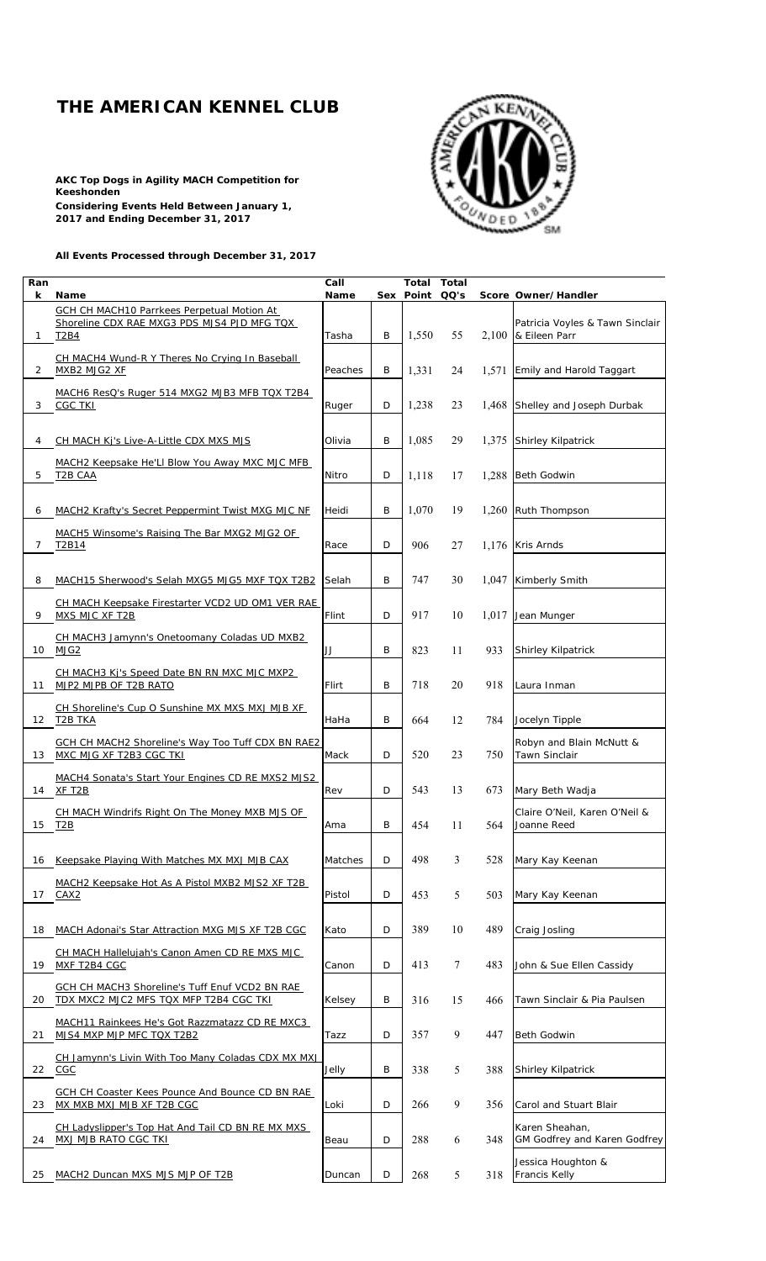## **THE AMERICAN KENNEL CLUB**

**AKC Top Dogs in Agility MACH Competition for Keeshonden Considering Events Held Between January 1, 2017 and Ending December 31, 2017**



**All Events Processed through December 31, 2017**

| Ran            |                                                                             | Call    |   | <b>Total Total</b> |        |       |                                              |
|----------------|-----------------------------------------------------------------------------|---------|---|--------------------|--------|-------|----------------------------------------------|
| k              | <b>Name</b><br><b>GCH CH MACH10 Parrkees Perpetual Motion At</b>            | Name    |   | Sex Point QQ's     |        |       | Score Owner/Handler                          |
|                | Shoreline CDX RAE MXG3 PDS MJS4 PJD MFG TQX                                 |         |   |                    |        |       | Patricia Voyles & Tawn Sinclair              |
| $\mathbf{1}$   | T2B4                                                                        | Tasha   | B | 1,550              | 55     |       | $2,100$ & Eileen Parr                        |
|                | CH MACH4 Wund-R Y Theres No Crying In Baseball                              |         |   |                    |        |       |                                              |
| 2              | MXB2 MJG2 XF                                                                | Peaches | B | 1,331              | 24     | 1,571 | <b>Emily and Harold Taggart</b>              |
|                |                                                                             |         |   |                    |        |       |                                              |
| 3              | MACH6 ResQ's Ruger 514 MXG2 MJB3 MFB TQX T2B4<br><b>CGC TKI</b>             | Ruger   | D | 1,238              | 23     | 1,468 | Shelley and Joseph Durbak                    |
|                |                                                                             |         |   |                    |        |       |                                              |
|                |                                                                             |         |   |                    |        |       |                                              |
| 4              | CH MACH Kj's Live-A-Little CDX MXS MJS                                      | Olivia  | B | 1,085              | 29     |       | 1,375 Shirley Kilpatrick                     |
|                | MACH2 Keepsake He'LI Blow You Away MXC MJC MFB                              |         |   |                    |        |       |                                              |
| 5              | <b>T2B CAA</b>                                                              | Nitro   | D | 1,118              | 17     | 1,288 | <b>Beth Godwin</b>                           |
|                |                                                                             |         |   |                    |        |       |                                              |
| 6              | MACH2 Krafty's Secret Peppermint Twist MXG MJC NF                           | Heidi   | B | 1,070              | 19     |       | 1,260 Ruth Thompson                          |
|                | MACH5 Winsome's Raising The Bar MXG2 MJG2 OF                                |         |   |                    |        |       |                                              |
| $\overline{7}$ | T2B14                                                                       | Race    | D | 906                | 27     |       | 1.176 Kris Arnds                             |
|                |                                                                             |         |   |                    |        |       |                                              |
| 8              | MACH15 Sherwood's Selah MXG5 MJG5 MXF TQX T2B2                              | Selah   | B | 747                | 30     | 1,047 | <b>Kimberly Smith</b>                        |
|                |                                                                             |         |   |                    |        |       |                                              |
| 9              | CH MACH Keepsake Firestarter VCD2 UD OM1 VER RAE<br>MXS MJC XF T2B          | Flint   | D | 917                | 10     | 1,017 | Jean Munger                                  |
|                |                                                                             |         |   |                    |        |       |                                              |
|                | CH MACH3 Jamynn's Onetoomany Coladas UD MXB2                                |         |   |                    |        |       |                                              |
|                | 10 MJG2                                                                     | JJ      | B | 823                | 11     | 933   | Shirley Kilpatrick                           |
|                | CH MACH3 Kj's Speed Date BN RN MXC MJC MXP2                                 |         |   |                    |        |       |                                              |
| 11             | MJP2 MJPB OF T2B RATO                                                       | Flirt   | B | 718                | 20     | 918   | Laura Inman                                  |
|                | CH Shoreline's Cup O Sunshine MX MXS MXJ MJB XF                             |         |   |                    |        |       |                                              |
|                | 12 T2B TKA                                                                  | HaHa    | B | 664                | 12     | 784   | Jocelyn Tipple                               |
|                | <b>GCH CH MACH2 Shoreline's Way Too Tuff CDX BN RAE2</b>                    |         |   |                    |        |       | Robyn and Blain McNutt &                     |
|                | 13 MXC MJG XF T2B3 CGC TKI                                                  | Mack    | D | 520                | 23     | 750   | <b>Tawn Sinclair</b>                         |
|                | MACH4 Sonata's Start Your Engines CD RE MXS2 MJS2                           |         |   |                    |        |       |                                              |
| 14             | XF T2B                                                                      | Rev     | D | 543                | 13     | 673   | Mary Beth Wadja                              |
|                |                                                                             |         |   |                    |        |       |                                              |
| 15             | CH MACH Windrifs Right On The Money MXB MJS OF<br>T2B                       | Ama     | В | 454                | 11     | 564   | Claire O'Neil, Karen O'Neil &<br>Joanne Reed |
|                |                                                                             |         |   |                    |        |       |                                              |
|                |                                                                             |         |   |                    |        |       |                                              |
| 16             | Keepsake Playing With Matches MX MXJ MJB CAX                                | Matches | D | 498                | 3      | 528   | Mary Kay Keenan                              |
|                | MACH2 Keepsake Hot As A Pistol MXB2 MJS2 XF T2B                             |         |   |                    |        |       |                                              |
| 17             | CAX <sub>2</sub>                                                            | Pistol  | D | 453                | 5      | 503   | Mary Kay Keenan                              |
|                |                                                                             |         |   |                    |        |       |                                              |
| 18             | <b>MACH Adonai's Star Attraction MXG MJS XF T2B CGC</b>                     | Kato    | D | 389                | 10     | 489   | Craig Josling                                |
|                | <b>CH MACH Hallelujah's Canon Amen CD RE MXS MJC</b>                        |         |   |                    |        |       |                                              |
| 19             | MXF T2B4 CGC                                                                | Canon   | D | 413                | $\tau$ | 483   | John & Sue Ellen Cassidy                     |
|                | GCH CH MACH3 Shoreline's Tuff Enuf VCD2 BN RAE                              |         |   |                    |        |       |                                              |
| 20             | TDX MXC2 MJC2 MFS TQX MFP T2B4 CGC TKI                                      | Kelsey  | B | 316                | 15     | 466   | Tawn Sinclair & Pia Paulsen                  |
|                |                                                                             |         |   |                    |        |       |                                              |
| 21             | MACH11 Rainkees He's Got Razzmatazz CD RE MXC3<br>MJS4 MXP MJP MFC TQX T2B2 | Tazz    | D | 357                | 9      | 447   | <b>Beth Godwin</b>                           |
|                |                                                                             |         |   |                    |        |       |                                              |
|                | CH Jamynn's Livin With Too Many Coladas CDX MX MXJ                          |         |   |                    |        |       |                                              |
|                | 22 CGC                                                                      | Jelly   | B | 338                | 5      | 388   | Shirley Kilpatrick                           |
|                | GCH CH Coaster Kees Pounce And Bounce CD BN RAE                             |         |   |                    |        |       |                                              |
| 23             | MX MXB MXJ MJB XF T2B CGC                                                   | Loki    | D | 266                | 9      | 356   | Carol and Stuart Blair                       |
|                | CH Ladyslipper's Top Hat And Tail CD BN RE MX MXS                           |         |   |                    |        |       | Karen Sheahan,                               |
| 24             | <b>MXJ MJB RATO CGC TKI</b>                                                 | Beau    | D | 288                | 6      | 348   | GM Godfrey and Karen Godfrey                 |
|                |                                                                             |         |   |                    |        |       | Jessica Houghton &                           |
| 25             | MACH2 Duncan MXS MJS MJP OF T2B                                             | Duncan  | D | 268                | 5      | 318   | <b>Francis Kelly</b>                         |